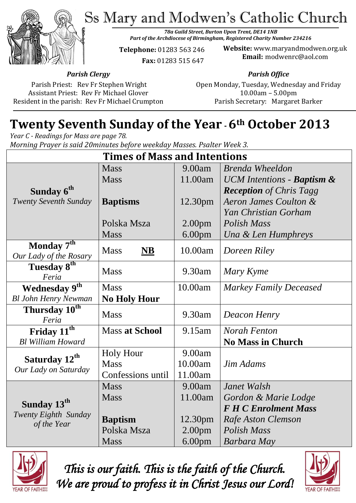Ss Mary and Modwen's Catholic Church



*78a Guild Street, Burton Upon Trent, DE14 1NB Part of the Archdiocese of Birmingham, Registered Charity Number 234216*

**Telephone:** 01283 563 246  **Fax:** 01283 515 647

**Website:** www.maryandmodwen.org.uk **Email:** modwenrc@aol.com

*Parish Clergy*

Parish Priest: Rev Fr Stephen Wright Assistant Priest: Rev Fr Michael Glover Resident in the parish: Rev Fr Michael Crumpton *Parish Office*

Open Monday, Tuesday, Wednesday and Friday 10.00am – 5.00pm Parish Secretary:Margaret Barker

# **Twenty Seventh Sunday of the Year -6th October 2013**

*Year C - Readings for Mass are page 78. Morning Prayer is said 20minutes before weekday Masses. Psalter Week 3.*

| <b>Times of Mass and Intentions</b>                            |                                    |                    |                                       |
|----------------------------------------------------------------|------------------------------------|--------------------|---------------------------------------|
|                                                                | <b>Mass</b>                        | 9.00am             | <b>Brenda Wheeldon</b>                |
|                                                                | <b>Mass</b>                        | 11.00am            | UCM Intentions - <b>Baptism &amp;</b> |
| Sunday 6 <sup>th</sup>                                         |                                    |                    | <b>Reception</b> of Chris Tagg        |
| <b>Twenty Seventh Sunday</b>                                   | <b>Baptisms</b>                    | 12.30pm            | Aeron James Coulton &                 |
|                                                                |                                    |                    | Yan Christian Gorham                  |
|                                                                | Polska Msza                        | 2.00 <sub>pm</sub> | Polish Mass                           |
|                                                                | <b>Mass</b>                        | 6.00 <sub>pm</sub> | Una & Len Humphreys                   |
| Monday 7th                                                     | <b>Mass</b><br>$\overline{\bf NB}$ | 10.00am            | Doreen Riley                          |
| Our Lady of the Rosary                                         |                                    |                    |                                       |
| Tuesday 8 <sup>th</sup>                                        | <b>Mass</b>                        | 9.30am             | Mary Kyme                             |
| Feria                                                          |                                    |                    |                                       |
| <b>Wednesday 9th</b>                                           | <b>Mass</b>                        | 10.00am            | <b>Markey Family Deceased</b>         |
| <b>Bl John Henry Newman</b>                                    | <b>No Holy Hour</b>                |                    |                                       |
| Thursday $10^{th}$<br>Feria                                    | <b>Mass</b>                        | 9.30am             | Deacon Henry                          |
| Friday 11 <sup>th</sup>                                        | <b>Mass at School</b>              | 9.15am             | <b>Norah Fenton</b>                   |
| <b>Bl William Howard</b>                                       |                                    |                    | <b>No Mass in Church</b>              |
| Saturday 12 <sup>th</sup><br>Our Lady on Saturday              | <b>Holy Hour</b>                   | 9.00am             |                                       |
|                                                                | <b>Mass</b>                        | 10.00am            | Jim Adams                             |
|                                                                | Confessions until                  | 11.00am            |                                       |
|                                                                | <b>Mass</b>                        | 9.00am             | Janet Walsh                           |
| Sunday 13 <sup>th</sup><br>Twenty Eighth Sunday<br>of the Year | <b>Mass</b>                        | 11.00am            | Gordon & Marie Lodge                  |
|                                                                |                                    |                    | <b>F H C Enrolment Mass</b>           |
|                                                                | <b>Baptism</b>                     | 12.30pm            | Rafe Aston Clemson                    |
|                                                                | Polska Msza                        | 2.00 <sub>pm</sub> | Polish Mass                           |
|                                                                | <b>Mass</b>                        | 6.00 <sub>pm</sub> | Barbara May                           |



*This is our faith. This is the faith of the Church. We are proud to profess it in Christ Jesus our Lord!* 

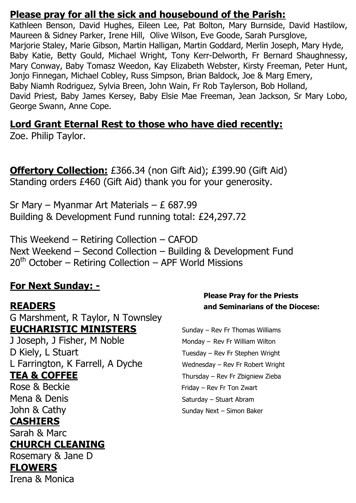#### **Please pray for all the sick and housebound of the Parish:**

Kathleen Benson, David Hughes, Eileen Lee, Pat Bolton, Mary Burnside, David Hastilow, Maureen & Sidney Parker, Irene Hill, Olive Wilson, Eve Goode, Sarah Pursglove, Marjorie Staley, Marie Gibson, Martin Halligan, Martin Goddard, Merlin Joseph, Mary Hyde, Baby Katie, Betty Gould, Michael Wright, Tony Kerr-Delworth, Fr Bernard Shaughnessy, Mary Conway, Baby Tomasz Weedon, Kay Elizabeth Webster, Kirsty Freeman, Peter Hunt, Jonjo Finnegan, Michael Cobley, Russ Simpson, Brian Baldock, Joe & Marg Emery, Baby Niamh Rodriguez, Sylvia Breen, John Wain, Fr Rob Taylerson, Bob Holland, David Priest, Baby James Kersey, Baby Elsie Mae Freeman, Jean Jackson, Sr Mary Lobo, George Swann, Anne Cope.

### **Lord Grant Eternal Rest to those who have died recently:**

Zoe. Philip Taylor.

**Offertory Collection:** £366.34 (non Gift Aid); £399.90 (Gift Aid) Standing orders £460 (Gift Aid) thank you for your generosity.

Sr Mary – Myanmar Art Materials – £ 687.99 Building & Development Fund running total: £24,297.72

This Weekend – Retiring Collection – CAFOD Next Weekend – Second Collection – Building & Development Fund  $20<sup>th</sup>$  October – Retiring Collection – APF World Missions

# **For Next Sunday: -**

G Marshment, R Taylor, N Townsley **EUCHARISTIC MINISTERS** Sunday – Rev Fr Thomas Williams

J Joseph, J Fisher, M Noble Monday – Rev Fr William Wilton D Kiely, L Stuart Tuesday – Rev Fr Stephen Wright L Farrington, K Farrell, A Dyche Wednesday – Rev Fr Robert Wright **TEA & COFFEE** Thursday – Rev Fr Zbigniew Zieba

# **CASHIERS**

Sarah & Marc

# **CHURCH CLEANING**

Rosemary & Jane D **FLOWERS**  Irena & Monica

#### **Please Pray for the Priests READERS and Seminarians of the Diocese:**

Rose & Beckie Friday – Rev Fr Ton Zwart Mena & Denis Saturday – Stuart Abram John & Cathy Sunday Next – Simon Baker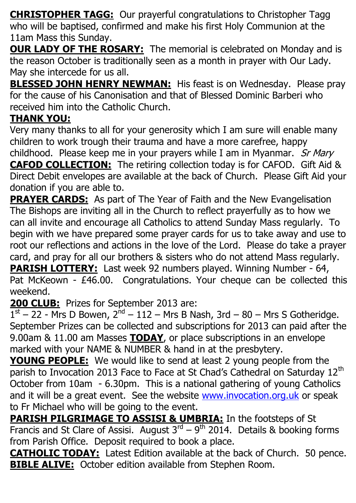**CHRISTOPHER TAGG:** Our prayerful congratulations to Christopher Tagg who will be baptised, confirmed and make his first Holy Communion at the 11am Mass this Sunday.

**OUR LADY OF THE ROSARY:** The memorial is celebrated on Monday and is the reason October is traditionally seen as a month in prayer with Our Lady. May she intercede for us all.

**BLESSED JOHN HENRY NEWMAN:** His feast is on Wednesday. Please pray for the cause of his Canonisation and that of Blessed Dominic Barberi who received him into the Catholic Church.

# **THANK YOU:**

Very many thanks to all for your generosity which I am sure will enable many children to work trough their trauma and have a more carefree, happy childhood. Please keep me in your prayers while I am in Myanmar. Sr Mary **CAFOD COLLECTION:** The retiring collection today is for CAFOD. Gift Aid & Direct Debit envelopes are available at the back of Church. Please Gift Aid your donation if you are able to.

**PRAYER CARDS:** As part of The Year of Faith and the New Evangelisation The Bishops are inviting all in the Church to reflect prayerfully as to how we can all invite and encourage all Catholics to attend Sunday Mass regularly. To begin with we have prepared some prayer cards for us to take away and use to root our reflections and actions in the love of the Lord. Please do take a prayer card, and pray for all our brothers & sisters who do not attend Mass regularly. **PARISH LOTTERY:** Last week 92 numbers played. Winning Number - 64, Pat McKeown - £46.00. Congratulations. Your cheque can be collected this

#### weekend.

**200 CLUB:** Prizes for September 2013 are:

 $1<sup>st</sup> - 22$  - Mrs D Bowen,  $2<sup>nd</sup> - 112 - Mrs$  B Nash, 3rd  $- 80 - Mrs$  S Gotheridge. September Prizes can be collected and subscriptions for 2013 can paid after the 9.00am & 11.00 am Masses **TODAY**, or place subscriptions in an envelope marked with your NAME & NUMBER & hand in at the presbytery.

**YOUNG PEOPLE:** We would like to send at least 2 young people from the parish to Invocation 2013 Face to Face at St Chad's Cathedral on Saturday 12<sup>th</sup> October from 10am - 6.30pm. This is a national gathering of young Catholics and it will be a great event. See the website [www.invocation.org.uk](http://www.invocation.org.uk/) or speak to Fr Michael who will be going to the event.

**PARISH PILGRIMAGE TO ASSISI & UMBRIA:** In the footsteps of St Francis and St Clare of Assisi. August  $3^{rd} - 9^{th}$  2014. Details & booking forms from Parish Office. Deposit required to book a place.

**CATHOLIC TODAY:** Latest Edition available at the back of Church. 50 pence. **BIBLE ALIVE:** October edition available from Stephen Room.